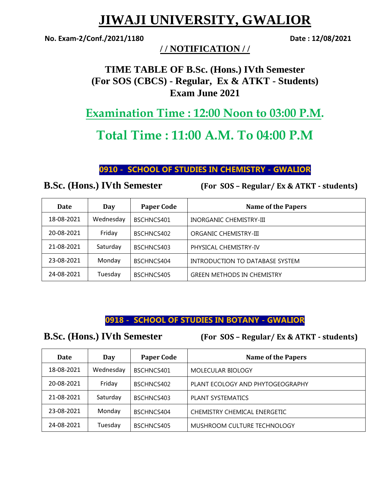# **JIWAJI UNIVERSITY, GWALIOR**

**No. Exam-2/Conf./2021/1180 Date : 12/08/2021**

### **/ / NOTIFICATION / /**

## **TIME TABLE OF B.Sc. (Hons.) IVth Semester (For SOS (CBCS) - Regular, Ex & ATKT - Students) Exam June 2021**

**Examination Time : 12:00 Noon to 03:00 P.M.**

## **Total Time : 11:00 A.M. To 04:00 P.M**

#### **0910 - SCHOOL OF STUDIES IN CHEMISTRY - GWALIOR**

**B.Sc. (Hons.) IVth Semester (For SOS – Regular/ Ex & ATKT - students)** 

| <b>Date</b> | Day       | <b>Paper Code</b> | <b>Name of the Papers</b>         |
|-------------|-----------|-------------------|-----------------------------------|
| 18-08-2021  | Wednesday | BSCHNCS401        | <b>INORGANIC CHEMISTRY-III</b>    |
| 20-08-2021  | Friday    | BSCHNCS402        | ORGANIC CHEMISTRY-III             |
| 21-08-2021  | Saturday  | BSCHNCS403        | PHYSICAL CHEMISTRY-IV             |
| 23-08-2021  | Monday    | BSCHNCS404        | INTRODUCTION TO DATABASE SYSTEM   |
| 24-08-2021  | Tuesday   | BSCHNCS405        | <b>GREEN METHODS IN CHEMISTRY</b> |

### **0918 - SCHOOL OF STUDIES IN BOTANY - GWALIOR**

**B.Sc. (Hons.) IVth Semester (For SOS – Regular/ Ex & ATKT - students)** 

| Date       | Day       | <b>Paper Code</b> | <b>Name of the Papers</b>        |
|------------|-----------|-------------------|----------------------------------|
| 18-08-2021 | Wednesday | BSCHNCS401        | MOLECULAR BIOLOGY                |
| 20-08-2021 | Friday    | BSCHNCS402        | PLANT ECOLOGY AND PHYTOGEOGRAPHY |
| 21-08-2021 | Saturday  | BSCHNCS403        | <b>PLANT SYSTEMATICS</b>         |
| 23-08-2021 | Monday    | BSCHNCS404        | CHEMISTRY CHEMICAL ENERGETIC     |
| 24-08-2021 | Tuesday   | BSCHNCS405        | MUSHROOM CULTURE TECHNOLOGY      |